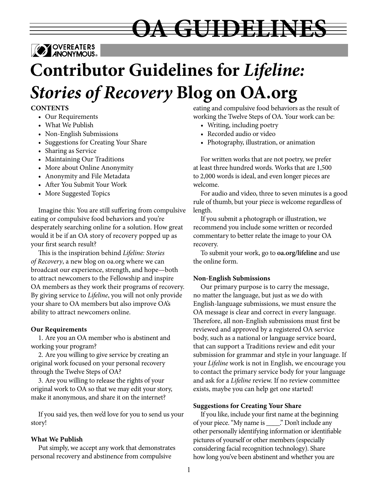

# **Contributor Guidelines for** *Lifeline: Stories of Recovery* **Blog on OA.org**

## **CONTENTS**

- Our Requirements
- What We Publish
- Non-English Submissions
- Suggestions for Creating Your Share
- Sharing as Service
- Maintaining Our Traditions
- More about Online Anonymity
- Anonymity and File Metadata
- After You Submit Your Work
- More Suggested Topics

Imagine this: You are still suffering from compulsive eating or compulsive food behaviors and you're desperately searching online for a solution. How great would it be if an OA story of recovery popped up as your first search result?

This is the inspiration behind *Lifeline: Stories of Recovery*, a new blog on oa.org where we can broadcast our experience, strength, and hope—both to attract newcomers to the Fellowship and inspire OA members as they work their programs of recovery. By giving service to *Lifeline*, you will not only provide your share to OA members but also improve OA's ability to attract newcomers online.

#### **Our Requirements**

1. Are you an OA member who is abstinent and working your program?

2. Are you willing to give service by creating an original work focused on your personal recovery through the Twelve Steps of OA?

3. Are you willing to release the rights of your original work to OA so that we may edit your story, make it anonymous, and share it on the internet?

If you said yes, then we'd love for you to send us your story!

#### **What We Publish**

Put simply, we accept any work that demonstrates personal recovery and abstinence from compulsive

eating and compulsive food behaviors as the result of working the Twelve Steps of OA. Your work can be:

• Writing, including poetry

**ZWEELDINES** 

- Recorded audio or video
- Photography, illustration, or animation

For written works that are not poetry, we prefer at least three hundred words. Works that are 1,500 to 2,000 words is ideal, and even longer pieces are welcome.

For audio and video, three to seven minutes is a good rule of thumb, but your piece is welcome regardless of length.

If you submit a photograph or illustration, we recommend you include some written or recorded commentary to better relate the image to your OA recovery.

To submit your work, go to **oa.org/lifeline** and use the online form.

#### **Non-English Submissions**

Our primary purpose is to carry the message, no matter the language, but just as we do with English-language submissions, we must ensure the OA message is clear and correct in every language. Therefore, all non-English submissions must first be reviewed and approved by a registered OA service body, such as a national or language service board, that can support a Traditions review and edit your submission for grammar and style in your language. If your *Lifeline* work is not in English, we encourage you to contact the primary service body for your language and ask for a *Lifeline* review. If no review committee exists, maybe you can help get one started!

#### **Suggestions for Creating Your Share**

If you like, include your first name at the beginning of your piece. "My name is \_\_\_\_." Don't include any other personally identifying information or identifiable pictures of yourself or other members (especially considering facial recognition technology). Share how long you've been abstinent and whether you are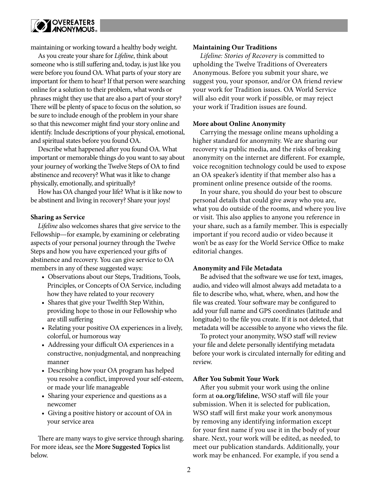

maintaining or working toward a healthy body weight.

As you create your share for *Lifeline*, think about someone who is still suffering and, today, is just like you were before you found OA. What parts of your story are important for them to hear? If that person were searching online for a solution to their problem, what words or phrases might they use that are also a part of your story? There will be plenty of space to focus on the solution, so be sure to include enough of the problem in your share so that this newcomer might find your story online and identify. Include descriptions of your physical, emotional, and spiritual states before you found OA.

Describe what happened after you found OA. What important or memorable things do you want to say about your journey of working the Twelve Steps of OA to find abstinence and recovery? What was it like to change physically, emotionally, and spiritually?

How has OA changed your life? What is it like now to be abstinent and living in recovery? Share your joys!

## **Sharing as Service**

*Lifeline* also welcomes shares that give service to the Fellowship—for example, by examining or celebrating aspects of your personal journey through the Twelve Steps and how you have experienced your gifts of abstinence and recovery. You can give service to OA members in any of these suggested ways:

- Observations about our Steps, Traditions, Tools, Principles, or Concepts of OA Service, including how they have related to your recovery
- Shares that give your Twelfth Step Within, providing hope to those in our Fellowship who are still suffering
- Relating your positive OA experiences in a lively, colorful, or humorous way
- Addressing your difficult OA experiences in a constructive, nonjudgmental, and nonpreaching manner
- Describing how your OA program has helped you resolve a conflict, improved your self-esteem, or made your life manageable
- Sharing your experience and questions as a newcomer
- Giving a positive history or account of OA in your service area

There are many ways to give service through sharing. For more ideas, see the **More Suggested Topics** list below.

#### **Maintaining Our Traditions**

*Lifeline: Stories of Recovery* is committed to upholding the Twelve Traditions of Overeaters Anonymous. Before you submit your share, we suggest you, your sponsor, and/or OA friend review your work for Tradition issues. OA World Service will also edit your work if possible, or may reject your work if Tradition issues are found.

## **More about Online Anonymity**

Carrying the message online means upholding a higher standard for anonymity. We are sharing our recovery via public media, and the risks of breaking anonymity on the internet are different. For example, voice recognition technology could be used to expose an OA speaker's identity if that member also has a prominent online presence outside of the rooms.

In your share, you should do your best to obscure personal details that could give away who you are, what you do outside of the rooms, and where you live or visit. This also applies to anyone you reference in your share, such as a family member. This is especially important if you record audio or video because it won't be as easy for the World Service Office to make editorial changes.

#### **Anonymity and File Metadata**

Be advised that the software we use for text, images, audio, and video will almost always add metadata to a file to describe who, what, where, when, and how the file was created. Your software may be configured to add your full name and GPS coordinates (latitude and longitude) to the file you create. If it is not deleted, that metadata will be accessible to anyone who views the file.

To protect your anonymity, WSO staff will review your file and delete personally identifying metadata before your work is circulated internally for editing and review.

#### **After You Submit Your Work**

After you submit your work using the online form at **oa.org/lifeline**, WSO staff will file your submission. When it is selected for publication, WSO staff will first make your work anonymous by removing any identifying information except for your first name if you use it in the body of your share. Next, your work will be edited, as needed, to meet our publication standards. Additionally, your work may be enhanced. For example, if you send a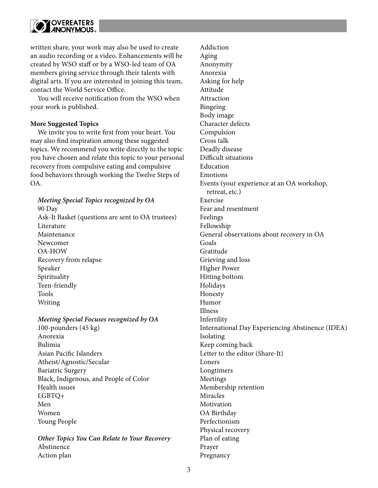

written share, your work may also be used to create an audio recording or a video. Enhancements will be created by WSO staff or by a WSO-led team of OA members giving service through their talents with digital arts. If you are interested in joining this team, contact the World Service Office.

You will receive notification from the WSO when your work is published.

## **More Suggested Topics**

We invite you to write first from your heart. You may also find inspiration among these suggested topics. We recommend you write directly to the topic you have chosen and relate this topic to your personal recovery from compulsive eating and compulsive food behaviors through working the Twelve Steps of OA.

*Meeting Special Topics recognized by OA* 90 Day Ask-It Basket (questions are sent to OA trustees) Literature Maintenance Newcomer OA-HOW Recovery from relapse Speaker Spirituality Teen-friendly Tools Writing

#### *Meeting Special Focuses recognized by OA*

100-pounders (45 kg) Anorexia Bulimia Asian Pacific Islanders Atheist/Agnostic/Secular Bariatric Surgery Black, Indigenous, and People of Color Health issues LGBTQ+ Men Women Young People

*Other Topics You Can Relate to Your Recovery* Abstinence Action plan

Addiction Aging Anonymity Anorexia Asking for help Attitude Attraction Bingeing Body image Character defects Compulsion Cross talk Deadly disease Difficult situations Education Emotions Events (your experience at an OA workshop, retreat, etc.) Exercise Fear and resentment Feelings Fellowship General observations about recovery in OA Goals Gratitude Grieving and loss Higher Power Hitting bottom Holidays Honesty Humor Illness Infertility International Day Experiencing Abstinence (IDEA) Isolating Keep coming back Letter to the editor (Share-It) Loners Longtimers Meetings Membership retention Miracles Motivation OA Birthday Perfectionism Physical recovery Plan of eating Prayer Pregnancy